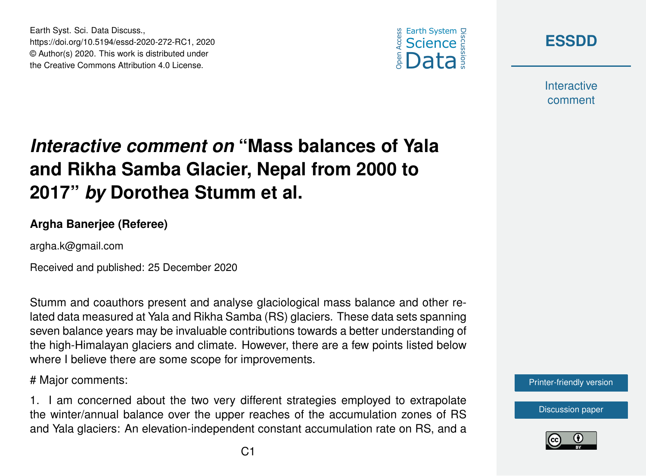





**Interactive** comment

## *Interactive comment on* **"Mass balances of Yala and Rikha Samba Glacier, Nepal from 2000 to 2017"** *by* **Dorothea Stumm et al.**

## **Argha Banerjee (Referee)**

argha.k@gmail.com

Received and published: 25 December 2020

Stumm and coauthors present and analyse glaciological mass balance and other related data measured at Yala and Rikha Samba (RS) glaciers. These data sets spanning seven balance years may be invaluable contributions towards a better understanding of the high-Himalayan glaciers and climate. However, there are a few points listed below where I believe there are some scope for improvements.

# Major comments:

1. I am concerned about the two very different strategies employed to extrapolate the winter/annual balance over the upper reaches of the accumulation zones of RS and Yala glaciers: An elevation-independent constant accumulation rate on RS, and a



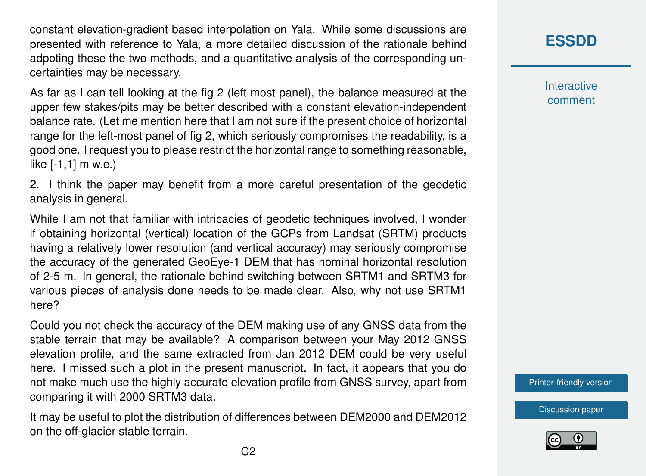constant elevation-gradient based interpolation on Yala. While some discussions are presented with reference to Yala, a more detailed discussion of the rationale behind adpoting these the two methods, and a quantitative analysis of the corresponding uncertainties may be necessary.

As far as I can tell looking at the fig 2 (left most panel), the balance measured at the upper few stakes/pits may be better described with a constant elevation-independent balance rate. (Let me mention here that I am not sure if the present choice of horizontal range for the left-most panel of fig 2, which seriously compromises the readability, is a good one. I request you to please restrict the horizontal range to something reasonable, like [-1,1] m w.e.)

2. I think the paper may benefit from a more careful presentation of the geodetic analysis in general.

While I am not that familiar with intricacies of geodetic techniques involved, I wonder if obtaining horizontal (vertical) location of the GCPs from Landsat (SRTM) products having a relatively lower resolution (and vertical accuracy) may seriously compromise the accuracy of the generated GeoEye-1 DEM that has nominal horizontal resolution of 2-5 m. In general, the rationale behind switching between SRTM1 and SRTM3 for various pieces of analysis done needs to be made clear. Also, why not use SRTM1 here?

Could you not check the accuracy of the DEM making use of any GNSS data from the stable terrain that may be available? A comparison between your May 2012 GNSS elevation profile, and the same extracted from Jan 2012 DEM could be very useful here. I missed such a plot in the present manuscript. In fact, it appears that you do not make much use the highly accurate elevation profile from GNSS survey, apart from comparing it with 2000 SRTM3 data.

It may be useful to plot the distribution of differences between DEM2000 and DEM2012 on the off-glacier stable terrain.

**[ESSDD](https://essd.copernicus.org/preprints/)**

**Interactive** comment

[Printer-friendly version](https://essd.copernicus.org/preprints/essd-2020-272/essd-2020-272-RC1-print.pdf)

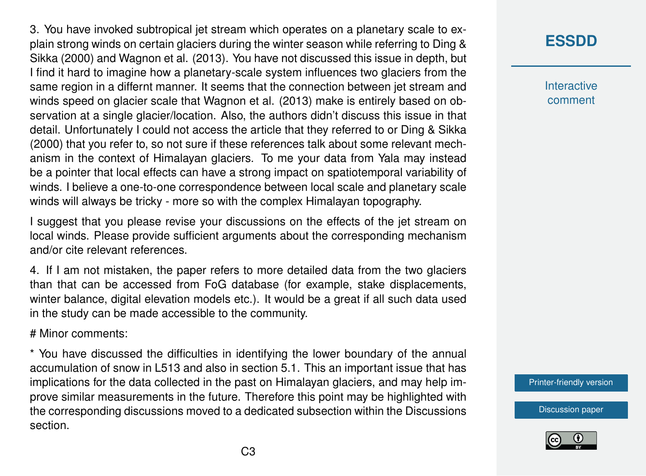3. You have invoked subtropical jet stream which operates on a planetary scale to explain strong winds on certain glaciers during the winter season while referring to Ding & Sikka (2000) and Wagnon et al. (2013). You have not discussed this issue in depth, but I find it hard to imagine how a planetary-scale system influences two glaciers from the same region in a differnt manner. It seems that the connection between jet stream and winds speed on glacier scale that Wagnon et al. (2013) make is entirely based on observation at a single glacier/location. Also, the authors didn't discuss this issue in that detail. Unfortunately I could not access the article that they referred to or Ding & Sikka (2000) that you refer to, so not sure if these references talk about some relevant mechanism in the context of Himalayan glaciers. To me your data from Yala may instead be a pointer that local effects can have a strong impact on spatiotemporal variability of winds. I believe a one-to-one correspondence between local scale and planetary scale winds will always be tricky - more so with the complex Himalayan topography.

I suggest that you please revise your discussions on the effects of the jet stream on local winds. Please provide sufficient arguments about the corresponding mechanism and/or cite relevant references.

4. If I am not mistaken, the paper refers to more detailed data from the two glaciers than that can be accessed from FoG database (for example, stake displacements, winter balance, digital elevation models etc.). It would be a great if all such data used in the study can be made accessible to the community.

# Minor comments:

\* You have discussed the difficulties in identifying the lower boundary of the annual accumulation of snow in L513 and also in section 5.1. This an important issue that has implications for the data collected in the past on Himalayan glaciers, and may help improve similar measurements in the future. Therefore this point may be highlighted with the corresponding discussions moved to a dedicated subsection within the Discussions section.

## **[ESSDD](https://essd.copernicus.org/preprints/)**

**Interactive** comment

[Printer-friendly version](https://essd.copernicus.org/preprints/essd-2020-272/essd-2020-272-RC1-print.pdf)

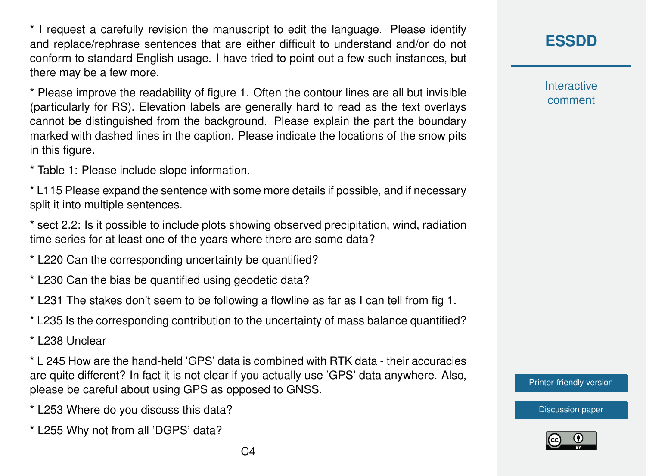\* I request a carefully revision the manuscript to edit the language. Please identify and replace/rephrase sentences that are either difficult to understand and/or do not conform to standard English usage. I have tried to point out a few such instances, but there may be a few more.

\* Please improve the readability of figure 1. Often the contour lines are all but invisible (particularly for RS). Elevation labels are generally hard to read as the text overlays cannot be distinguished from the background. Please explain the part the boundary marked with dashed lines in the caption. Please indicate the locations of the snow pits in this figure.

\* Table 1: Please include slope information.

\* L115 Please expand the sentence with some more details if possible, and if necessary split it into multiple sentences.

\* sect 2.2: Is it possible to include plots showing observed precipitation, wind, radiation time series for at least one of the years where there are some data?

\* L220 Can the corresponding uncertainty be quantified?

\* L230 Can the bias be quantified using geodetic data?

\* L231 The stakes don't seem to be following a flowline as far as I can tell from fig 1.

\* L235 Is the corresponding contribution to the uncertainty of mass balance quantified?

\* L238 Unclear

\* L 245 How are the hand-held 'GPS' data is combined with RTK data - their accuracies are quite different? In fact it is not clear if you actually use 'GPS' data anywhere. Also, please be careful about using GPS as opposed to GNSS.

\* L253 Where do you discuss this data?

\* L255 Why not from all 'DGPS' data?

**[ESSDD](https://essd.copernicus.org/preprints/)**

**Interactive** comment

[Printer-friendly version](https://essd.copernicus.org/preprints/essd-2020-272/essd-2020-272-RC1-print.pdf)



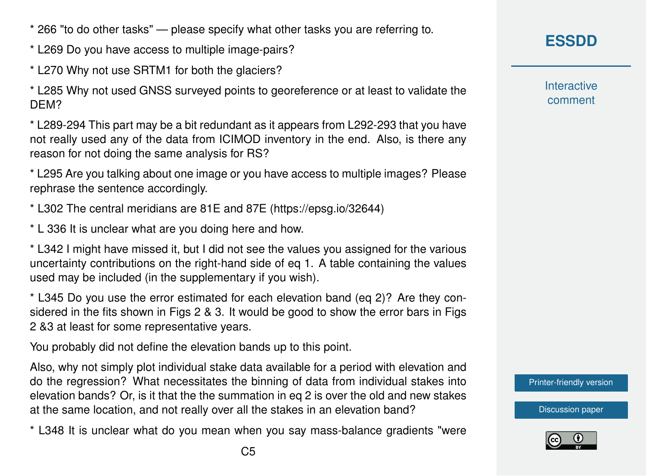\* 266 "to do other tasks" — please specify what other tasks you are referring to.

\* L269 Do you have access to multiple image-pairs?

\* L270 Why not use SRTM1 for both the glaciers?

\* L285 Why not used GNSS surveyed points to georeference or at least to validate the DEM?

\* L289-294 This part may be a bit redundant as it appears from L292-293 that you have not really used any of the data from ICIMOD inventory in the end. Also, is there any reason for not doing the same analysis for RS?

\* L295 Are you talking about one image or you have access to multiple images? Please rephrase the sentence accordingly.

\* L302 The central meridians are 81E and 87E (https://epsg.io/32644)

\* L 336 It is unclear what are you doing here and how.

\* L342 I might have missed it, but I did not see the values you assigned for the various uncertainty contributions on the right-hand side of eq 1. A table containing the values used may be included (in the supplementary if you wish).

\* L345 Do you use the error estimated for each elevation band (eq 2)? Are they considered in the fits shown in Figs 2 & 3. It would be good to show the error bars in Figs 2 &3 at least for some representative years.

You probably did not define the elevation bands up to this point.

Also, why not simply plot individual stake data available for a period with elevation and do the regression? What necessitates the binning of data from individual stakes into elevation bands? Or, is it that the the summation in eq 2 is over the old and new stakes at the same location, and not really over all the stakes in an elevation band?

\* L348 It is unclear what do you mean when you say mass-balance gradients "were

**Interactive** comment

[Printer-friendly version](https://essd.copernicus.org/preprints/essd-2020-272/essd-2020-272-RC1-print.pdf)

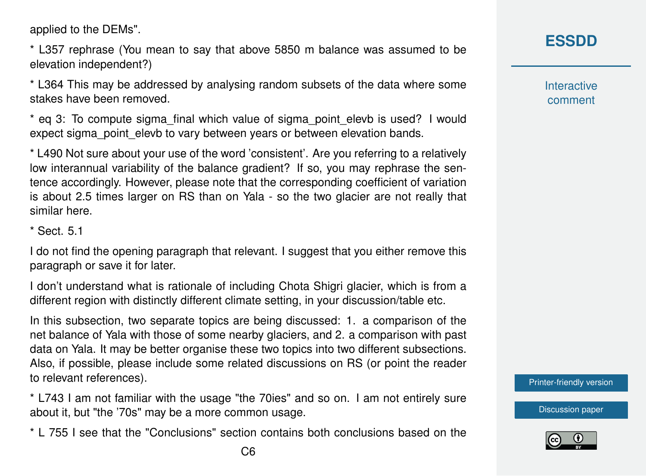applied to the DEMs".

\* L357 rephrase (You mean to say that above 5850 m balance was assumed to be elevation independent?)

\* L364 This may be addressed by analysing random subsets of the data where some stakes have been removed.

\* eq 3: To compute sigma\_final which value of sigma\_point\_elevb is used? I would expect sigma point elevb to vary between years or between elevation bands.

\* L490 Not sure about your use of the word 'consistent'. Are you referring to a relatively low interannual variability of the balance gradient? If so, you may rephrase the sentence accordingly. However, please note that the corresponding coefficient of variation is about 2.5 times larger on RS than on Yala - so the two glacier are not really that similar here.

\* Sect. 5.1

I do not find the opening paragraph that relevant. I suggest that you either remove this paragraph or save it for later.

I don't understand what is rationale of including Chota Shigri glacier, which is from a different region with distinctly different climate setting, in your discussion/table etc.

In this subsection, two separate topics are being discussed: 1. a comparison of the net balance of Yala with those of some nearby glaciers, and 2. a comparison with past data on Yala. It may be better organise these two topics into two different subsections. Also, if possible, please include some related discussions on RS (or point the reader to relevant references).

\* L743 I am not familiar with the usage "the 70ies" and so on. I am not entirely sure about it, but "the '70s" may be a more common usage.

\* L 755 I see that the "Conclusions" section contains both conclusions based on the

**Interactive** comment

[Printer-friendly version](https://essd.copernicus.org/preprints/essd-2020-272/essd-2020-272-RC1-print.pdf)